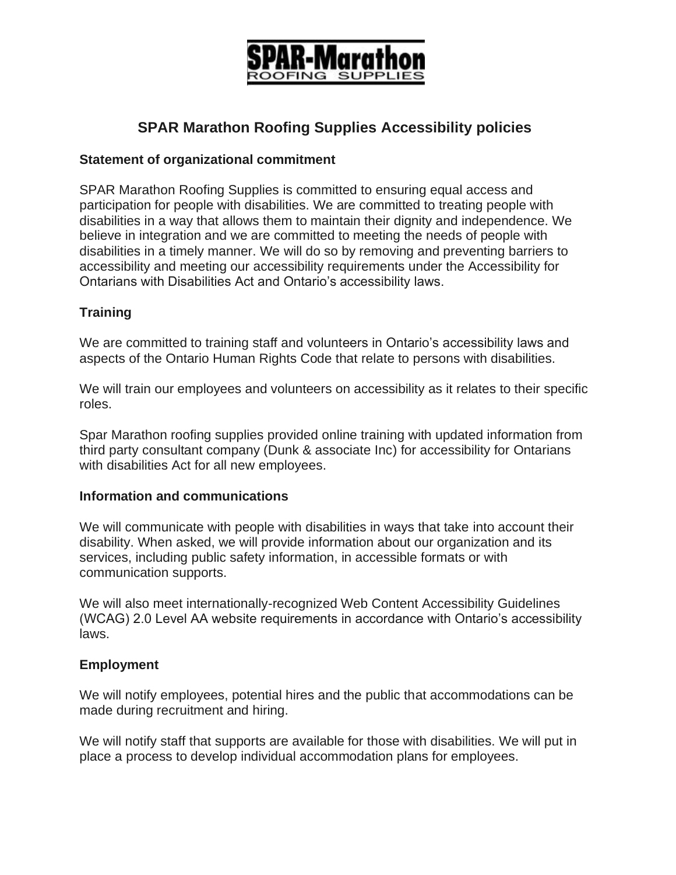

# **SPAR Marathon Roofing Supplies Accessibility policies**

#### **Statement of organizational commitment**

SPAR Marathon Roofing Supplies is committed to ensuring equal access and participation for people with disabilities. We are committed to treating people with disabilities in a way that allows them to maintain their dignity and independence. We believe in integration and we are committed to meeting the needs of people with disabilities in a timely manner. We will do so by removing and preventing barriers to accessibility and meeting our accessibility requirements under the Accessibility for Ontarians with Disabilities Act and Ontario's accessibility laws.

## **Training**

We are committed to training staff and volunteers in Ontario's accessibility laws and aspects of the Ontario Human Rights Code that relate to persons with disabilities.

We will train our employees and volunteers on accessibility as it relates to their specific roles.

Spar Marathon roofing supplies provided online training with updated information from third party consultant company (Dunk & associate Inc) for accessibility for Ontarians with disabilities Act for all new employees.

#### **Information and communications**

We will communicate with people with disabilities in ways that take into account their disability. When asked, we will provide information about our organization and its services, including public safety information, in accessible formats or with communication supports.

We will also meet internationally-recognized Web Content Accessibility Guidelines (WCAG) 2.0 Level AA website requirements in accordance with Ontario's accessibility laws.

### **Employment**

We will notify employees, potential hires and the public that accommodations can be made during recruitment and hiring.

We will notify staff that supports are available for those with disabilities. We will put in place a process to develop individual accommodation plans for employees.